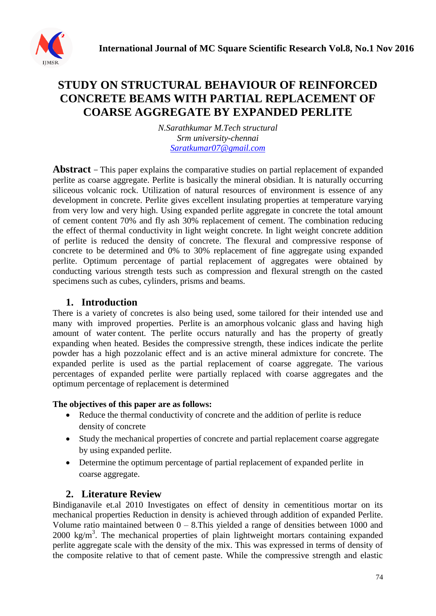

# **STUDY ON STRUCTURAL BEHAVIOUR OF REINFORCED CONCRETE BEAMS WITH PARTIAL REPLACEMENT OF COARSE AGGREGATE BY EXPANDED PERLITE**

*N.Sarathkumar M.Tech structural Srm university-chennai [Saratkumar07@gmail.com](mailto:Saratkumar07@gmail.com)*

**Abstract −** This paper explains the comparative studies on partial replacement of expanded perlite as coarse aggregate. Perlite is basically the mineral obsidian. It is naturally occurring siliceous volcanic rock. Utilization of natural resources of environment is essence of any development in concrete. Perlite gives excellent insulating properties at temperature varying from very low and very high. Using expanded perlite aggregate in concrete the total amount of cement content 70% and fly ash 30% replacement of cement. The combination reducing the effect of thermal conductivity in light weight concrete. In light weight concrete addition of perlite is reduced the density of concrete. The flexural and compressive response of concrete to be determined and 0% to 30% replacement of fine aggregate using expanded perlite. Optimum percentage of partial replacement of aggregates were obtained by conducting various strength tests such as compression and flexural strength on the casted specimens such as cubes, cylinders, prisms and beams.

## **1. Introduction**

There is a variety of concretes is also being used, some tailored for their intended use and many with improved properties. Perlite is an [amorphous](https://en.wikipedia.org/wiki/Amorphous) [volcanic glass](https://en.wikipedia.org/wiki/Volcanic_glass) and having high amount of [water](https://en.wikipedia.org/wiki/Water) content. The perlite occurs naturally and has the property of greatly expanding when heated. Besides the compressive strength, these indices indicate the perlite powder has a high pozzolanic effect and is an active mineral admixture for concrete. The expanded perlite is used as the partial replacement of coarse aggregate. The various percentages of expanded perlite were partially replaced with coarse aggregates and the optimum percentage of replacement is determined

#### **The objectives of this paper are as follows:**

- Reduce the thermal conductivity of concrete and the addition of perlite is reduce density of concrete
- Study the mechanical properties of concrete and partial replacement coarse aggregate by using expanded perlite.
- Determine the optimum percentage of partial replacement of expanded perlite in coarse aggregate.

### **2. Literature Review**

Bindiganavile et.al 2010 Investigates on effect of density in cementitious mortar on its mechanical properties Reduction in density is achieved through addition of expanded Perlite. Volume ratio maintained between  $0 - 8$ . This yielded a range of densities between 1000 and 2000 kg/m<sup>3</sup>. The mechanical properties of plain lightweight mortars containing expanded perlite aggregate scale with the density of the mix. This was expressed in terms of density of the composite relative to that of cement paste. While the compressive strength and elastic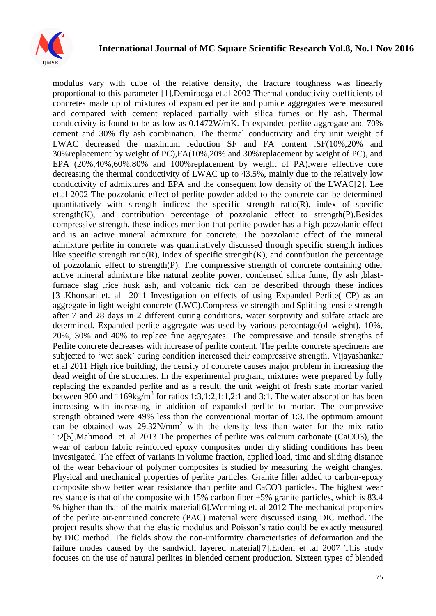

modulus vary with cube of the relative density, the fracture toughness was linearly proportional to this parameter [1].Demirboga et.al 2002 Thermal conductivity coefficients of concretes made up of mixtures of expanded perlite and pumice aggregates were measured and compared with cement replaced partially with silica fumes or fly ash. Thermal conductivity is found to be as low as 0.1472W/mK. In expanded perlite aggregate and 70% cement and 30% fly ash combination. The thermal conductivity and dry unit weight of LWAC decreased the maximum reduction SF and FA content .SF(10%,20% and 30%replacement by weight of PC),FA(10%,20% and 30%replacement by weight of PC), and EPA (20%,40%,60%,80% and 100%replacement by weight of PA),were effective core decreasing the thermal conductivity of LWAC up to 43.5%, mainly due to the relatively low conductivity of admixtures and EPA and the consequent low density of the LWAC[2]. Lee et.al 2002 The pozzolanic effect of perlite powder added to the concrete can be determined quantitatively with strength indices: the specific strength ratio( $R$ ), index of specific strength $(K)$ , and contribution percentage of pozzolanic effect to strength $(P)$ . Besides compressive strength, these indices mention that perlite powder has a high pozzolanic effect and is an active mineral admixture for concrete. The pozzolanic effect of the mineral admixture perlite in concrete was quantitatively discussed through specific strength indices like specific strength ratio(R), index of specific strength(K), and contribution the percentage of pozzolanic effect to strength(P). The compressive strength of concrete containing other active mineral admixture like natural zeolite power, condensed silica fume, fly ash ,blastfurnace slag ,rice husk ash, and volcanic rick can be described through these indices [3].Khonsari et. al 2011 Investigation on effects of using Expanded Perlite( CP) as an aggregate in light weight concrete (LWC).Compressive strength and Splitting tensile strength after 7 and 28 days in 2 different curing conditions, water sorptivity and sulfate attack are determined. Expanded perlite aggregate was used by various percentage(of weight), 10%, 20%, 30% and 40% to replace fine aggregates. The compressive and tensile strengths of Perlite concrete decreases with increase of perlite content. The perlite concrete specimens are subjected to "wet sack" curing condition increased their compressive strength. Vijayashankar et.al 2011 High rice building, the density of concrete causes major problem in increasing the dead weight of the structures. In the experimental program, mixtures were prepared by fully replacing the expanded perlite and as a result, the unit weight of fresh state mortar varied between 900 and  $1169$ kg/m<sup>3</sup> for ratios 1:3,1:2,1:1,2:1 and 3:1. The water absorption has been increasing with increasing in addition of expanded perlite to mortar. The compressive strength obtained were 49% less than the conventional mortar of 1:3.The optimum amount can be obtained was  $29.32N/mm^2$  with the density less than water for the mix ratio 1:2[5].Mahmood et. al 2013 The properties of perlite was calcium carbonate (CaCO3), the wear of carbon fabric reinforced epoxy composites under dry sliding conditions has been investigated. The effect of variants in volume fraction, applied load, time and sliding distance of the wear behaviour of polymer composites is studied by measuring the weight changes. Physical and mechanical properties of perlite particles. Granite filler added to carbon-epoxy composite show better wear resistance than perlite and CaCO3 particles. The highest wear resistance is that of the composite with 15% carbon fiber +5% granite particles, which is 83.4 % higher than that of the matrix material[6].Wenming et. al 2012 The mechanical properties of the perlite air-entrained concrete (PAC) material were discussed using DIC method. The project results show that the elastic modulus and Poisson"s ratio could be exactly measured by DIC method. The fields show the non-uniformity characteristics of deformation and the failure modes caused by the sandwich layered material[7].Erdem et .al 2007 This study focuses on the use of natural perlites in blended cement production. Sixteen types of blended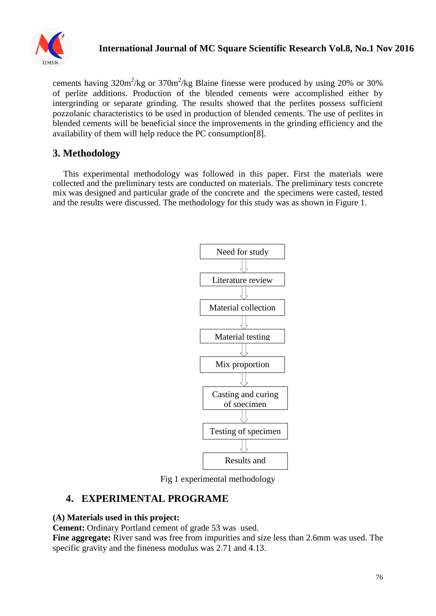

cements having  $320 \text{m}^2/\text{kg}$  or  $370 \text{m}^2/\text{kg}$  Blaine finesse were produced by using 20% or 30% of perlite additions. Production of the blended cements were accomplished either by intergrinding or separate grinding. The results showed that the perlites possess sufficient pozzolanic characteristics to be used in production of blended cements. The use of perlites in blended cements will be beneficial since the improvements in the grinding efficiency and the availability of them will help reduce the PC consumption[8].

## **3. Methodology**

This experimental methodology was followed in this paper. First the materials were collected and the preliminary tests are conducted on materials. The preliminary tests concrete mix was designed and particular grade of the concrete and the specimens were casted, tested and the results were discussed. The methodology for this study was as shown in Figure 1.



Fig 1 experimental methodology

## **4. EXPERIMENTAL PROGRAME**

### **(A) Materials used in this project:**

**Cement:** Ordinary Portland cement of grade 53 was used.

**Fine aggregate:** River sand was free from impurities and size less than 2.6mm was used. The specific gravity and the fineness modulus was 2.71 and 4.13.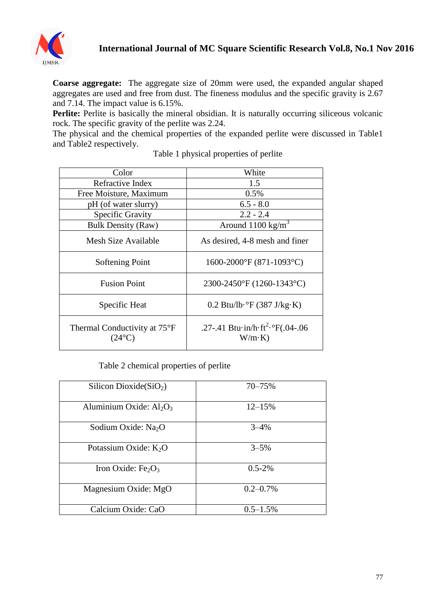

**Coarse aggregate:** The aggregate size of 20mm were used, the expanded angular shaped aggregates are used and free from dust. The fineness modulus and the specific gravity is 2.67 and 7.14. The impact value is 6.15%.

Perlite: Perlite is basically the mineral obsidian. It is naturally occurring siliceous volcanic rock. The specific gravity of the perlite was 2.24.

The physical and the chemical properties of the expanded perlite were discussed in Table1 and Table2 respectively.

| Color                                           | White                                                                                |  |
|-------------------------------------------------|--------------------------------------------------------------------------------------|--|
| Refractive Index                                | 1.5                                                                                  |  |
| Free Moisture, Maximum                          | 0.5%                                                                                 |  |
| pH (of water slurry)                            | $6.5 - 8.0$                                                                          |  |
| Specific Gravity                                | $2.2 - 2.4$                                                                          |  |
| <b>Bulk Density (Raw)</b>                       | Around $1100 \text{ kg/m}^3$                                                         |  |
| Mesh Size Available                             | As desired, 4-8 mesh and finer                                                       |  |
| Softening Point                                 | 1600-2000°F (871-1093°C)                                                             |  |
| <b>Fusion Point</b>                             | 2300-2450°F (1260-1343°C)                                                            |  |
| Specific Heat                                   | $0.2$ Btu/lb· $\degree$ F (387 J/kg·K)                                               |  |
| Thermal Conductivity at 75°F<br>$(24^{\circ}C)$ | .27-.41 Btu $\cdot$ in/h $\cdot$ ft <sup>2</sup> $\cdot$ °F(.04-.06<br>$W/m \cdot K$ |  |

Table 1 physical properties of perlite

#### Table 2 chemical properties of perlite

| Silicon Dioxide $(SiO2)$                   | 70–75%        |
|--------------------------------------------|---------------|
| Aluminium Oxide: $Al_2O_3$                 | $12 - 15%$    |
| Sodium Oxide: Na <sub>2</sub> O            | $3 - 4%$      |
| Potassium Oxide: $K_2O$                    | $3 - 5\%$     |
| Iron Oxide: Fe <sub>2</sub> O <sub>3</sub> | $0.5 - 2\%$   |
| Magnesium Oxide: MgO                       | $0.2 - 0.7\%$ |
| Calcium Oxide: CaO                         | $0.5 - 1.5\%$ |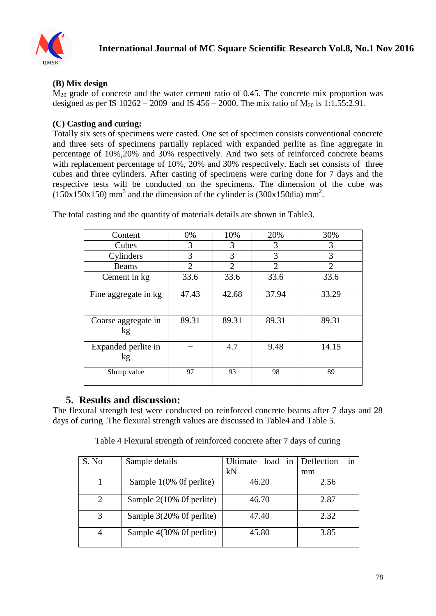

## **(B) Mix design**

 $M_{20}$  grade of concrete and the water cement ratio of 0.45. The concrete mix proportion was designed as per IS  $10262 - 2009$  and IS  $456 - 2000$ . The mix ratio of  $M_{20}$  is 1:1.55:2.91.

### **(C) Casting and curing:**

Totally six sets of specimens were casted. One set of specimen consists conventional concrete and three sets of specimens partially replaced with expanded perlite as fine aggregate in percentage of 10%,20% and 30% respectively. And two sets of reinforced concrete beams with replacement percentage of 10%, 20% and 30% respectively. Each set consists of three cubes and three cylinders. After casting of specimens were curing done for 7 days and the respective tests will be conducted on the specimens. The dimension of the cube was  $(150x150x150)$  mm<sup>3</sup> and the dimension of the cylinder is  $(300x150dia)$  mm<sup>2</sup>.

| Content                   | 0%             | 10%            | 20%            | 30%            |
|---------------------------|----------------|----------------|----------------|----------------|
| Cubes                     | 3              | 3              | 3              | 3              |
| Cylinders                 | 3              | 3              | 3              | 3              |
| <b>Beams</b>              | $\overline{2}$ | $\mathfrak{D}$ | $\overline{2}$ | $\overline{2}$ |
| Cement in kg              | 33.6           | 33.6           | 33.6           | 33.6           |
| Fine aggregate in kg      | 47.43          | 42.68          | 37.94          | 33.29          |
| Coarse aggregate in<br>kg | 89.31          | 89.31          | 89.31          | 89.31          |
| Expanded perlite in<br>kg |                | 4.7            | 9.48           | 14.15          |
| Slump value               | 97             | 93             | 98             | 89             |

The total casting and the quantity of materials details are shown in Table3.

## **5. Results and discussion:**

The flexural strength test were conducted on reinforced concrete beams after 7 days and 28 days of curing .The flexural strength values are discussed in Table4 and Table 5.

Table 4 Flexural strength of reinforced concrete after 7 days of curing

| S. No          | Sample details           | Ultimate<br>load in | Deflection<br><sub>in</sub> |
|----------------|--------------------------|---------------------|-----------------------------|
|                |                          | kN                  | mm                          |
|                | Sample 1(0% Of perlite)  | 46.20               | 2.56                        |
|                | Sample 2(10% Of perlite) | 46.70               | 2.87                        |
|                | Sample 3(20% Of perlite) | 47.40               | 2.32                        |
| $\overline{4}$ | Sample 4(30% Of perlite) | 45.80               | 3.85                        |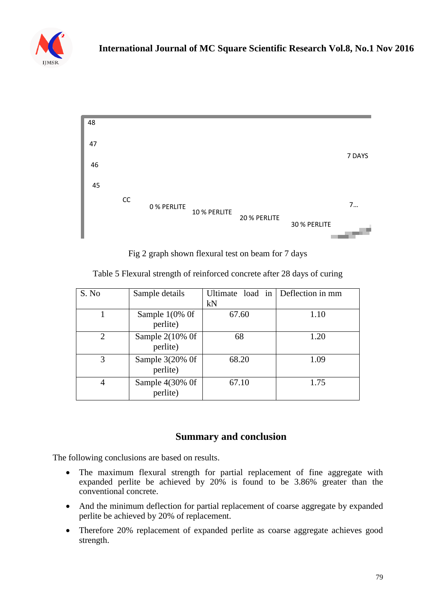



Fig 2 graph shown flexural test on beam for 7 days

| S. No          | Sample details                          | Ultimate load in Deflection in mm<br>kN |      |
|----------------|-----------------------------------------|-----------------------------------------|------|
|                | Sample $1(0\% 0f)$<br>perlite)          | 67.60                                   | 1.10 |
| $\overline{2}$ | Sample $2(10\% \text{ Of }$<br>perlite) | 68                                      | 1.20 |
| 3              | Sample 3(20% Of<br>perlite)             | 68.20                                   | 1.09 |
| 4              | Sample 4(30% Of<br>perlite)             | 67.10                                   | 1.75 |

Table 5 Flexural strength of reinforced concrete after 28 days of curing

## **Summary and conclusion**

The following conclusions are based on results.

- The maximum flexural strength for partial replacement of fine aggregate with expanded perlite be achieved by 20% is found to be 3.86% greater than the conventional concrete.
- And the minimum deflection for partial replacement of coarse aggregate by expanded perlite be achieved by 20% of replacement.
- Therefore 20% replacement of expanded perlite as coarse aggregate achieves good strength.